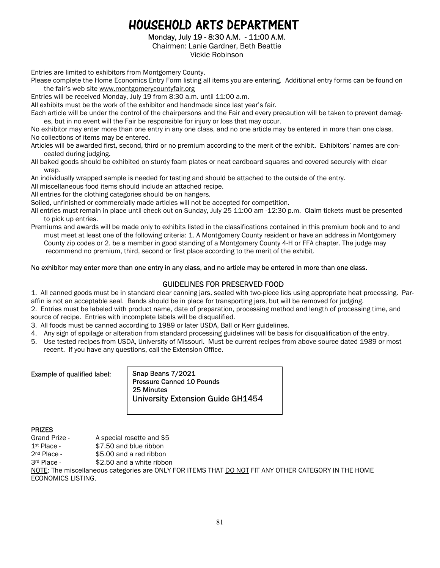## HOUSEHOLD ARTS DEPARTMENT

Monday, July 19 - 8:30 A.M. - 11:00 A.M.

Chairmen: Lanie Gardner, Beth Beattie

Vickie Robinson

Entries are limited to exhibitors from Montgomery County.

Please complete the Home Economics Entry Form listing all items you are entering. Additional entry forms can be found on the fair's web site www.montgomerycountyfair.org

Entries will be received Monday, July 19 from 8:30 a.m. until 11:00 a.m.

All exhibits must be the work of the exhibitor and handmade since last year's fair.

Each article will be under the control of the chairpersons and the Fair and every precaution will be taken to prevent damages, but in no event will the Fair be responsible for injury or loss that may occur.

No exhibitor may enter more than one entry in any one class, and no one article may be entered in more than one class. No collections of items may be entered.

Articles will be awarded first, second, third or no premium according to the merit of the exhibit. Exhibitors' names are concealed during judging.

All baked goods should be exhibited on sturdy foam plates or neat cardboard squares and covered securely with clear wrap.

An individually wrapped sample is needed for tasting and should be attached to the outside of the entry.

All miscellaneous food items should include an attached recipe.

All entries for the clothing categories should be on hangers.

Soiled, unfinished or commercially made articles will not be accepted for competition.

All entries must remain in place until check out on Sunday, July 25 11:00 am -12:30 p.m. Claim tickets must be presented to pick up entries.

Premiums and awards will be made only to exhibits listed in the classifications contained in this premium book and to and must meet at least one of the following criteria: 1. A Montgomery County resident or have an address in Montgomery County zip codes or 2. be a member in good standing of a Montgomery County 4-H or FFA chapter. The judge may recommend no premium, third, second or first place according to the merit of the exhibit.

#### No exhibitor may enter more than one entry in any class, and no article may be entered in more than one class.

## GUIDELINES FOR PRESERVED FOOD

1. All canned goods must be in standard clear canning jars, sealed with two-piece lids using appropriate heat processing. Paraffin is not an acceptable seal. Bands should be in place for transporting jars, but will be removed for judging.

2. Entries must be labeled with product name, date of preparation, processing method and length of processing time, and source of recipe. Entries with incomplete labels will be disqualified.

3. All foods must be canned according to 1989 or later USDA, Ball or Kerr guidelines.

- 4. Any sign of spoilage or alteration from standard processing guidelines will be basis for disqualification of the entry.
- 5. Use tested recipes from USDA, University of Missouri. Must be current recipes from above source dated 1989 or most recent. If you have any questions, call the Extension Office.

#### Example of qualified label:

Snap Beans 7/2021 Pressure Canned 10 Pounds 25 Minutes University Extension Guide GH1454

## PRIZES

Grand Prize - A special rosette and \$5

1st Place - \$7.50 and blue ribbon

2<sup>nd</sup> Place - \$5.00 and a red ribbon

3rd Place - \$2.50 and a white ribbon

NOTE: The miscellaneous categories are ONLY FOR ITEMS THAT DO NOT FIT ANY OTHER CATEGORY IN THE HOME ECONOMICS LISTING.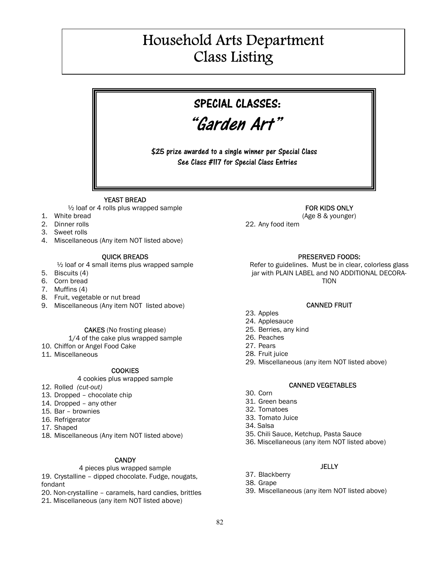# Household Arts Department Class Listing

## SPECIAL CLASSES:

"Garden Art"

\$25 prize awarded to a single winner per Special Class See Class #117 for Special Class Entries

#### YEAST BREAD

 $\frac{1}{2}$  loaf or 4 rolls plus wrapped sample

- 1. White bread
- 2. Dinner rolls
- 3. Sweet rolls
- 4. Miscellaneous (Any item NOT listed above)

#### QUICK BREADS

 $\frac{1}{2}$  loaf or 4 small items plus wrapped sample

- 5. Biscuits (4)
- 6. Corn bread
- 7. Muffins (4)
- 8. Fruit, vegetable or nut bread
- 9. Miscellaneous (Any item NOT listed above)

#### CAKES (No frosting please)

- 1/4 of the cake plus wrapped sample
- 10. Chiffon or Angel Food Cake
- 11. Miscellaneous

#### **COOKIES**

#### 4 cookies plus wrapped sample

- 12. Rolled (cut-out)
- 13. Dropped chocolate chip
- 14. Dropped any other
- 15. Bar brownies
- 16. Refrigerator
- 17. Shaped
- 18. Miscellaneous (Any item NOT listed above)

#### **CANDY**

#### 4 pieces plus wrapped sample

19. Crystalline – dipped chocolate. Fudge, nougats, fondant

- 20. Non-crystalline caramels, hard candies, brittles
- 21. Miscellaneous (any item NOT listed above)

### FOR KIDS ONLY

(Age 8 & younger)

22. Any food item

#### PRESERVED FOODS:

Refer to guidelines. Must be in clear, colorless glass jar with PLAIN LABEL and NO ADDITIONAL DECORA-TION

#### CANNED FRUIT

- 23. Apples
- 24. Applesauce
- 25. Berries, any kind
- 26. Peaches
- 27. Pears
- 28. Fruit juice
- 29. Miscellaneous (any item NOT listed above)

#### CANNED VEGETABLES

- 30. Corn
- 31. Green beans
- 32. Tomatoes
- 33. Tomato Juice
- 34. Salsa
- 35. Chili Sauce, Ketchup, Pasta Sauce
- 36. Miscellaneous (any item NOT listed above)

## **JELLY**

- 37. Blackberry
- 38. Grape
- 39. Miscellaneous (any item NOT listed above)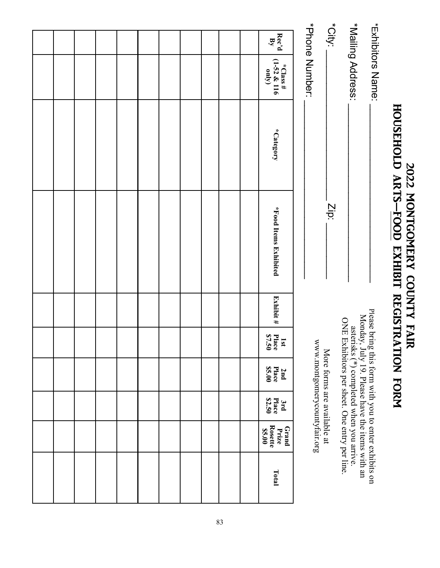|                       |                                     |           | HOUSEHOLD ARTS-FOOD EXHIBIT REGISTRATION FORM<br>2022 MONTGOMERY COUNTY FAIR |             |                        |                                                                                            |                        |                                            |       |
|-----------------------|-------------------------------------|-----------|------------------------------------------------------------------------------|-------------|------------------------|--------------------------------------------------------------------------------------------|------------------------|--------------------------------------------|-------|
|                       | *Exhibitors<br>Name:                |           |                                                                              | Please brin |                        | g this form with you to enter exhibits on                                                  |                        |                                            |       |
|                       | *Mailing Address:                   |           |                                                                              |             |                        | Monday, July 19. Please have the items with an<br>asterisks (*) completed when you arrive. |                        |                                            |       |
| *City:                |                                     |           | $\overline{2}$                                                               |             |                        | ONE Exhibitors per sheet. One entry per line.                                              |                        |                                            |       |
|                       | *Phone Number:                      |           |                                                                              |             |                        | www.mongomerycountytair.org<br>More forms are available at                                 |                        |                                            |       |
| Rec'd<br>$\mathbf{B}$ | $(1-52 \& 116)$<br>*Class#<br>(Apro | *Category | *Food Items Exhibited                                                        | Exhibit #   | Place<br>\$7.50<br>1sp | \$5.00<br>Place<br>2nd                                                                     | \$2.50<br>Place<br>3rd | <b>Rosette</b><br>Grand<br>\$5.00<br>Prize | Total |
|                       |                                     |           |                                                                              |             |                        |                                                                                            |                        |                                            |       |
|                       |                                     |           |                                                                              |             |                        |                                                                                            |                        |                                            |       |
|                       |                                     |           |                                                                              |             |                        |                                                                                            |                        |                                            |       |
|                       |                                     |           |                                                                              |             |                        |                                                                                            |                        |                                            |       |
|                       |                                     |           |                                                                              |             |                        |                                                                                            |                        |                                            |       |
|                       |                                     |           |                                                                              |             |                        |                                                                                            |                        |                                            |       |
|                       |                                     |           |                                                                              |             |                        |                                                                                            |                        |                                            |       |
|                       |                                     |           |                                                                              |             |                        |                                                                                            |                        |                                            |       |
|                       |                                     |           |                                                                              |             |                        |                                                                                            |                        |                                            |       |
|                       |                                     |           |                                                                              |             |                        |                                                                                            |                        |                                            |       |
|                       |                                     |           |                                                                              |             |                        |                                                                                            |                        |                                            |       |